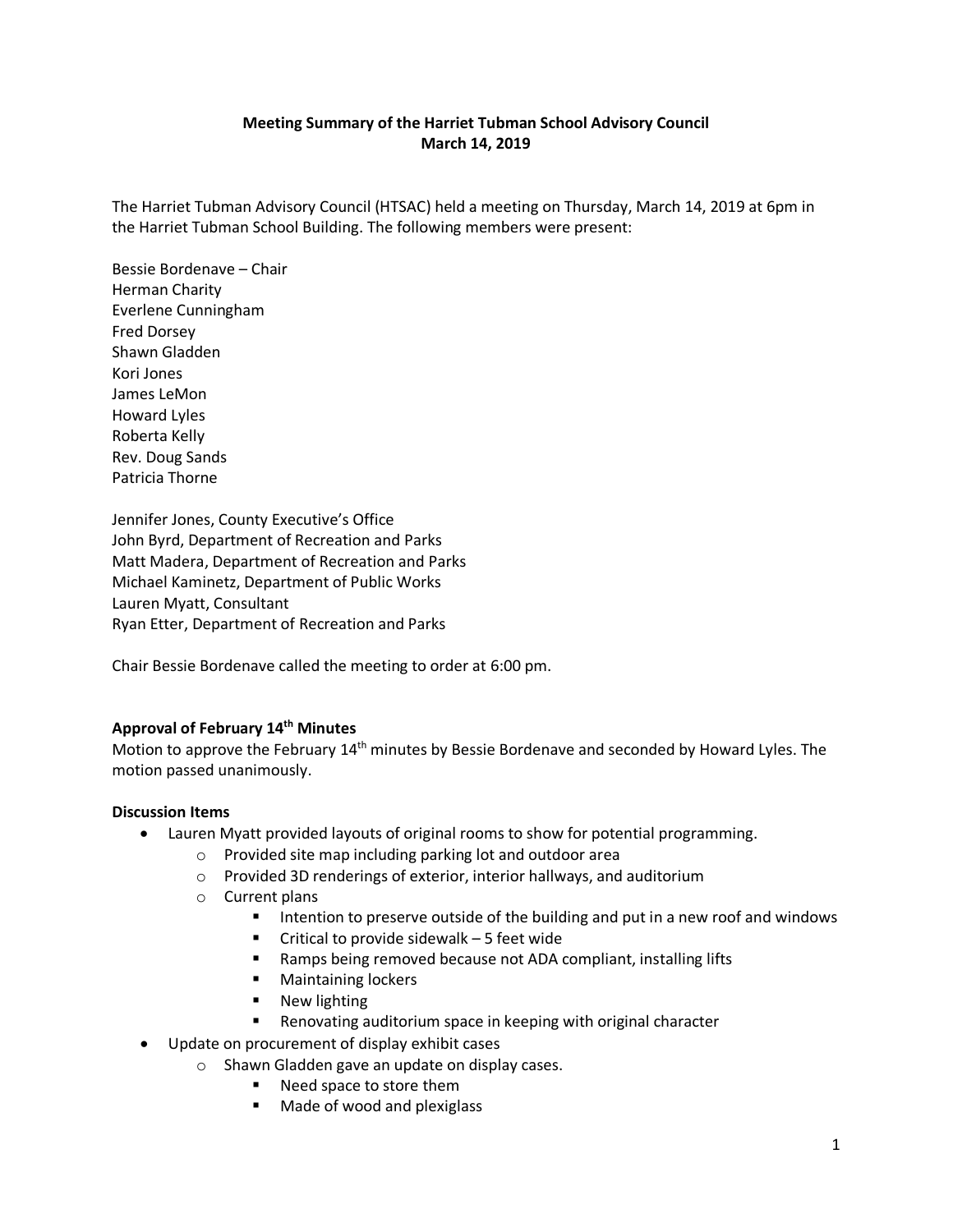# **Meeting Summary of the Harriet Tubman School Advisory Council March 14, 2019**

The Harriet Tubman Advisory Council (HTSAC) held a meeting on Thursday, March 14, 2019 at 6pm in the Harriet Tubman School Building. The following members were present:

Bessie Bordenave – Chair Herman Charity Everlene Cunningham Fred Dorsey Shawn Gladden Kori Jones James LeMon Howard Lyles Roberta Kelly Rev. Doug Sands Patricia Thorne

Jennifer Jones, County Executive's Office John Byrd, Department of Recreation and Parks Matt Madera, Department of Recreation and Parks Michael Kaminetz, Department of Public Works Lauren Myatt, Consultant Ryan Etter, Department of Recreation and Parks

Chair Bessie Bordenave called the meeting to order at 6:00 pm.

# **Approval of February 14th Minutes**

Motion to approve the February 14<sup>th</sup> minutes by Bessie Bordenave and seconded by Howard Lyles. The motion passed unanimously.

### **Discussion Items**

- Lauren Myatt provided layouts of original rooms to show for potential programming.
	- o Provided site map including parking lot and outdoor area
	- o Provided 3D renderings of exterior, interior hallways, and auditorium
	- o Current plans
		- Intention to preserve outside of the building and put in a new roof and windows
		- $\blacksquare$  Critical to provide sidewalk 5 feet wide
		- Ramps being removed because not ADA compliant, installing lifts
		- **Maintaining lockers**
		- **New lighting**
		- Renovating auditorium space in keeping with original character
- Update on procurement of display exhibit cases
	- o Shawn Gladden gave an update on display cases.
		- Need space to store them
		- Made of wood and plexiglass